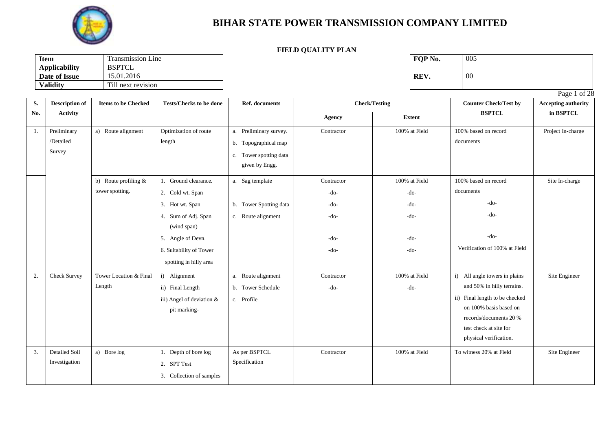

### **FIELD QUALITY PLAN**

| <b>Item</b>          | l'ransmission Line | FOP No. | 005 |
|----------------------|--------------------|---------|-----|
| <b>Applicability</b> | <b>BSPTCL</b>      |         |     |
| Date of Issue        | 15.01.2016         | REV.    | -00 |
| <b>Validity</b>      | Till next revision |         |     |

| FQP No. | 005 |
|---------|-----|
| REV.    | 00  |

Page 1 of 28

| S.  | <b>Description of</b>          | <b>Items to be Checked</b> | <b>Tests/Checks to be done</b> | Ref. documents                 | <b>Check/Testing</b> |               | <b>Counter Check/Test by</b>                     | <b>Accepting authority</b> |
|-----|--------------------------------|----------------------------|--------------------------------|--------------------------------|----------------------|---------------|--------------------------------------------------|----------------------------|
| No. | <b>Activity</b>                |                            |                                |                                | <b>Agency</b>        | <b>Extent</b> | <b>BSPTCL</b>                                    | in BSPTCL                  |
| 1.  | Preliminary                    | a) Route alignment         | Optimization of route          | a. Preliminary survey.         | Contractor           | 100% at Field | 100% based on record                             | Project In-charge          |
|     | /Detailed                      |                            | length                         | b. Topographical map           |                      |               | documents                                        |                            |
|     | Survey                         |                            |                                | c. Tower spotting data         |                      |               |                                                  |                            |
|     |                                |                            |                                | given by Engg.                 |                      |               |                                                  |                            |
|     |                                | b) Route profiling &       | 1. Ground clearance.           | a. Sag template                | Contractor           | 100% at Field | 100% based on record                             | Site In-charge             |
|     |                                | tower spotting.            | 2. Cold wt. Span               |                                | $-do-$               | $-do-$        | documents                                        |                            |
|     |                                |                            | 3. Hot wt. Span                | b. Tower Spotting data         | $-do-$               | $-do-$        | $-do-$                                           |                            |
|     |                                |                            | 4. Sum of Adj. Span            | c. Route alignment             | $-do-$               | $-do-$        | $-do-$                                           |                            |
|     |                                |                            | (wind span)                    |                                |                      |               |                                                  |                            |
|     |                                |                            | 5. Angle of Devn.              |                                | $-do-$               | $-do-$        | $-do-$                                           |                            |
|     |                                |                            | 6. Suitability of Tower        |                                | $-do-$               | $-do-$        | Verification of 100% at Field                    |                            |
|     |                                |                            | spotting in hilly area         |                                |                      |               |                                                  |                            |
| 2.  | Check Survey                   | Tower Location & Final     | i) Alignment                   | a. Route alignment             | Contractor           | 100% at Field | i) All angle towers in plains                    | Site Engineer              |
|     |                                | Length                     | ii) Final Length               | b. Tower Schedule              | $-do-$               | $-do-$        | and 50% in hilly terrains.                       |                            |
|     |                                |                            | iii) Angel of deviation &      | c. Profile                     |                      |               | ii) Final length to be checked                   |                            |
|     |                                |                            | pit marking-                   |                                |                      |               | on 100% basis based on                           |                            |
|     |                                |                            |                                |                                |                      |               | records/documents 20 %<br>test check at site for |                            |
|     |                                |                            |                                |                                |                      |               | physical verification.                           |                            |
|     |                                |                            |                                |                                |                      |               |                                                  |                            |
| 3.  | Detailed Soil<br>Investigation | a) Bore log                | 1. Depth of bore log           | As per BSPTCL<br>Specification | Contractor           | 100% at Field | To witness 20% at Field                          | Site Engineer              |
|     |                                |                            | 2. SPT Test                    |                                |                      |               |                                                  |                            |
|     |                                |                            | 3. Collection of samples       |                                |                      |               |                                                  |                            |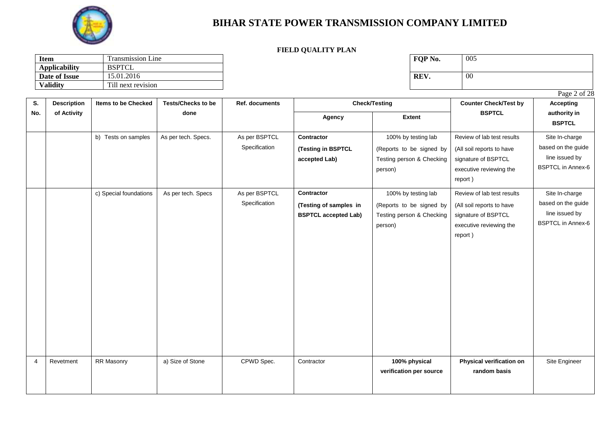

#### **FIELD QUALITY PLAN**

| <b>Transmission Line</b><br><b>Item</b> |                    | FOP No. | 005 |
|-----------------------------------------|--------------------|---------|-----|
| <b>Applicability</b>                    | <b>BSPTCL</b>      |         |     |
| Date of Issue                           | 15.01.2016         | REV.    | -00 |
| <b>Validity</b>                         | Till next revision |         |     |

| FQP No. | 005    |
|---------|--------|
| REV.    | $00\,$ |

Page 2 of 28

| S.             | <b>Description</b> | Items to be Checked    | <b>Tests/Checks to be</b> | Ref. documents                 | <b>Check/Testing</b>                                                |                                                                                         | <b>Counter Check/Test by</b>                                                                                         | <b>Accepting</b>                                                                   |  |
|----------------|--------------------|------------------------|---------------------------|--------------------------------|---------------------------------------------------------------------|-----------------------------------------------------------------------------------------|----------------------------------------------------------------------------------------------------------------------|------------------------------------------------------------------------------------|--|
| No.            | of Activity        |                        | done                      |                                | Agency                                                              | <b>Extent</b>                                                                           | <b>BSPTCL</b>                                                                                                        | authority in<br><b>BSPTCL</b>                                                      |  |
|                |                    | b) Tests on samples    | As per tech. Specs.       | As per BSPTCL<br>Specification | Contractor<br>(Testing in BSPTCL<br>accepted Lab)                   | 100% by testing lab<br>(Reports to be signed by<br>Testing person & Checking<br>person) | Review of lab test results<br>(All soil reports to have<br>signature of BSPTCL<br>executive reviewing the<br>report) | Site In-charge<br>based on the guide<br>line issued by<br><b>BSPTCL</b> in Annex-6 |  |
|                |                    | c) Special foundations | As per tech. Specs        | As per BSPTCL<br>Specification | Contractor<br>(Testing of samples in<br><b>BSPTCL accepted Lab)</b> | 100% by testing lab<br>(Reports to be signed by<br>Testing person & Checking<br>person) | Review of lab test results<br>(All soil reports to have<br>signature of BSPTCL<br>executive reviewing the<br>report) | Site In-charge<br>based on the guide<br>line issued by<br><b>BSPTCL</b> in Annex-6 |  |
| $\overline{4}$ | Revetment          | RR Masonry             | a) Size of Stone          | CPWD Spec.                     | Contractor                                                          | 100% physical<br>verification per source                                                | Physical verification on<br>random basis                                                                             | Site Engineer                                                                      |  |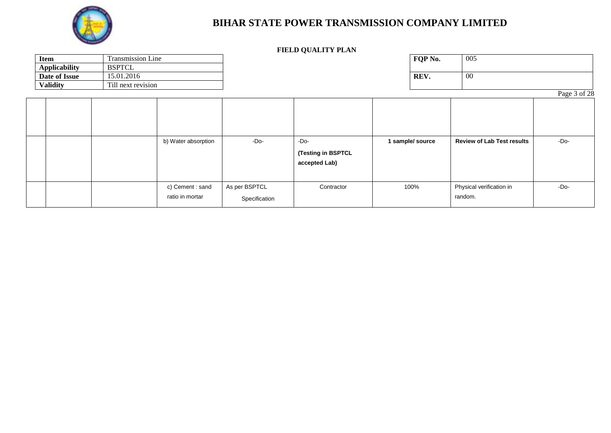

#### **FIELD QUALITY PLAN**

| <b>Item</b>          | $\mathbf{r}$<br>Fransmission Line | FOP No. | 005 |
|----------------------|-----------------------------------|---------|-----|
| <b>Applicability</b> | <b>BSPTCL</b>                     |         |     |
| Date of Issue        | 15.01.2016                        | REV.    | 00  |
| <b>Validity</b>      | Till next revision                |         |     |

| FQP No. | 005    |
|---------|--------|
| REV.    | $00\,$ |

Page 3 of 28

|  |                                     |                                |                                               |                  |                                     | $\sim$ |
|--|-------------------------------------|--------------------------------|-----------------------------------------------|------------------|-------------------------------------|--------|
|  | b) Water absorption                 | -Do-                           | $-Do-$<br>(Testing in BSPTCL<br>accepted Lab) | 1 sample/ source | <b>Review of Lab Test results</b>   | $-Do-$ |
|  | c) Cement : sand<br>ratio in mortar | As per BSPTCL<br>Specification | Contractor                                    | 100%             | Physical verification in<br>random. | $-Do-$ |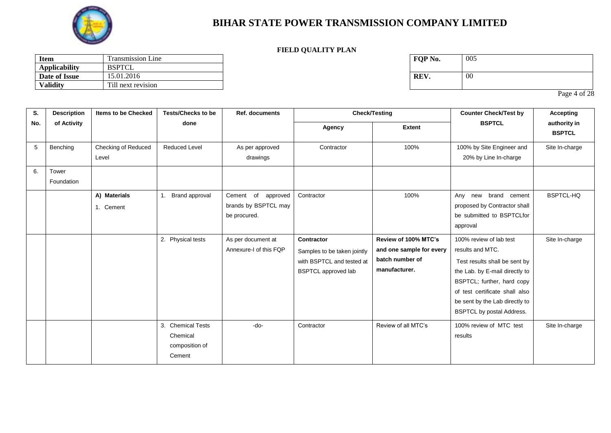

### **FIELD QUALITY PLAN**

| <b>Transmission Line</b><br><b>Item</b> |                    | FOP No. | 005 |
|-----------------------------------------|--------------------|---------|-----|
| <b>Applicability</b>                    | <b>BSPTCL</b>      |         |     |
| Date of Issue                           | 15.01.2016         | REV.    | 00  |
| <b>Validity</b>                         | Till next revision |         |     |

| FQP No. | 005    |
|---------|--------|
| REV.    | $00\,$ |

Page 4 of 28

| S.  | <b>Description</b>  | <b>Items to be Checked</b>   | <b>Tests/Checks to be</b>                                 | <b>Ref. documents</b>                                      |                                                                                                      | <b>Check/Testing</b>                                                                 | <b>Counter Check/Test by</b>                                                                                                                                                                                                                         | <b>Accepting</b>              |  |
|-----|---------------------|------------------------------|-----------------------------------------------------------|------------------------------------------------------------|------------------------------------------------------------------------------------------------------|--------------------------------------------------------------------------------------|------------------------------------------------------------------------------------------------------------------------------------------------------------------------------------------------------------------------------------------------------|-------------------------------|--|
| No. | of Activity         |                              | done                                                      |                                                            | Agency                                                                                               | <b>Extent</b>                                                                        | <b>BSPTCL</b>                                                                                                                                                                                                                                        | authority in<br><b>BSPTCL</b> |  |
| 5   | Benching            | Checking of Reduced<br>Level | <b>Reduced Level</b>                                      | As per approved<br>drawings                                | Contractor                                                                                           | 100%                                                                                 | 100% by Site Engineer and<br>20% by Line In-charge                                                                                                                                                                                                   | Site In-charge                |  |
| 6.  | Tower<br>Foundation |                              |                                                           |                                                            |                                                                                                      |                                                                                      |                                                                                                                                                                                                                                                      |                               |  |
|     |                     | A) Materials<br>1. Cement    | Brand approval                                            | Cement of approved<br>brands by BSPTCL may<br>be procured. | Contractor                                                                                           | 100%                                                                                 | Any new brand cement<br>proposed by Contractor shall<br>be submitted to BSPTCLfor<br>approval                                                                                                                                                        | <b>BSPTCL-HQ</b>              |  |
|     |                     |                              | 2. Physical tests                                         | As per document at<br>Annexure-I of this FQP               | Contractor<br>Samples to be taken jointly<br>with BSPTCL and tested at<br><b>BSPTCL</b> approved lab | Review of 100% MTC's<br>and one sample for every<br>batch number of<br>manufacturer. | 100% review of lab test<br>results and MTC.<br>Test results shall be sent by<br>the Lab. by E-mail directly to<br>BSPTCL; further, hard copy<br>of test certificate shall also<br>be sent by the Lab directly to<br><b>BSPTCL by postal Address.</b> | Site In-charge                |  |
|     |                     |                              | 3. Chemical Tests<br>Chemical<br>composition of<br>Cement | -do-                                                       | Contractor                                                                                           | Review of all MTC's                                                                  | 100% review of MTC test<br>results                                                                                                                                                                                                                   | Site In-charge                |  |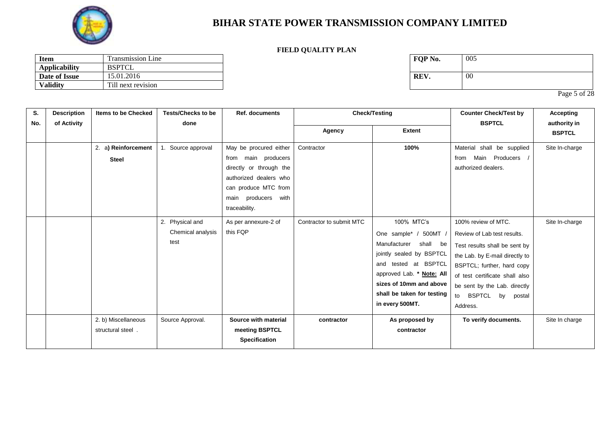

### **FIELD QUALITY PLAN**

| <b>Item</b>          | <b>Transmission Line</b> | FOP No. | 005 |
|----------------------|--------------------------|---------|-----|
| <b>Applicability</b> | <b>BSPTCL</b>            |         |     |
| Date of Issue        | 15.01.2016               | REV.    | 00  |
| <b>Validity</b>      | Till next revision       |         |     |

| FQP No. | 005    |
|---------|--------|
| REV.    | $00\,$ |

Page 5 of 28

| S.<br>No. | <b>Description</b><br>of Activity | <b>Items to be Checked</b>               | <b>Tests/Checks to be</b><br>done            | <b>Ref. documents</b>                                                                                                                                              | <b>Check/Testing</b>     |                                                                                                                                                                                                                            | <b>Counter Check/Test by</b><br><b>BSPTCL</b>                                                                                                                                                                                                            | <b>Accepting</b><br>authority in |
|-----------|-----------------------------------|------------------------------------------|----------------------------------------------|--------------------------------------------------------------------------------------------------------------------------------------------------------------------|--------------------------|----------------------------------------------------------------------------------------------------------------------------------------------------------------------------------------------------------------------------|----------------------------------------------------------------------------------------------------------------------------------------------------------------------------------------------------------------------------------------------------------|----------------------------------|
|           |                                   |                                          |                                              |                                                                                                                                                                    | Agency                   | <b>Extent</b>                                                                                                                                                                                                              |                                                                                                                                                                                                                                                          | <b>BSPTCL</b>                    |
|           |                                   | 2.<br>a) Reinforcement<br><b>Steel</b>   | 1. Source approval                           | May be procured either<br>from main producers<br>directly or through the<br>authorized dealers who<br>can produce MTC from<br>main producers with<br>traceability. | Contractor               | 100%                                                                                                                                                                                                                       | Material shall be supplied<br>Main Producers<br>from<br>authorized dealers.                                                                                                                                                                              | Site In-charge                   |
|           |                                   |                                          | 2. Physical and<br>Chemical analysis<br>test | As per annexure-2 of<br>this FQP                                                                                                                                   | Contractor to submit MTC | 100% MTC's<br>One sample* / 500MT<br>Manufacturer<br>shall be<br>jointly sealed by BSPTCL<br>and tested at BSPTCL<br>approved Lab. * Note: All<br>sizes of 10mm and above<br>shall be taken for testing<br>in every 500MT. | 100% review of MTC.<br>Review of Lab test results.<br>Test results shall be sent by<br>the Lab. by E-mail directly to<br>BSPTCL; further, hard copy<br>of test certificate shall also<br>be sent by the Lab. directly<br>to BSPTCL by postal<br>Address. | Site In-charge                   |
|           |                                   | 2. b) Miscellaneous<br>structural steel. | Source Approval.                             | Source with material<br>meeting BSPTCL<br><b>Specification</b>                                                                                                     | contractor               | As proposed by<br>contractor                                                                                                                                                                                               | To verify documents.                                                                                                                                                                                                                                     | Site In charge                   |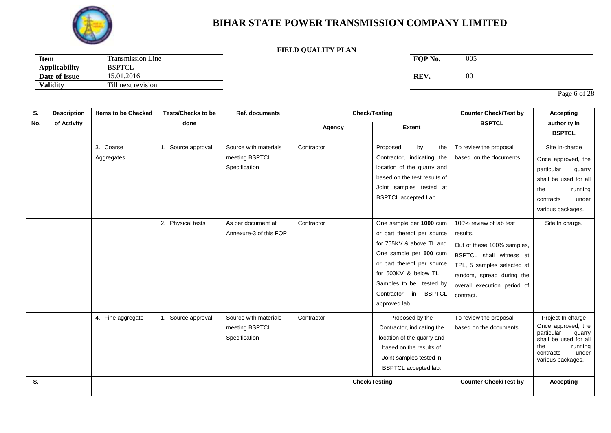

### **FIELD QUALITY PLAN**

| <b>Item</b>          | <b>Transmission Line</b> | FOP No. | 005 |
|----------------------|--------------------------|---------|-----|
| <b>Applicability</b> | <b>BSPTCL</b>            |         |     |
| Date of Issue        | 15.01.2016               | REV.    | 00  |
| <b>Validity</b>      | Till next revision       |         |     |

| FQP No. | 005 |
|---------|-----|
| REV.    | 00  |

Page 6 of 28

| S.  | <b>Description</b> | <b>Items to be Checked</b> | <b>Tests/Checks to be</b> | <b>Ref. documents</b>                                    | <b>Check/Testing</b> |                                                                                                                                                                                                                                      | <b>Counter Check/Test by</b>                                                                                                                                                                        | <b>Accepting</b>                                                                                                                                      |
|-----|--------------------|----------------------------|---------------------------|----------------------------------------------------------|----------------------|--------------------------------------------------------------------------------------------------------------------------------------------------------------------------------------------------------------------------------------|-----------------------------------------------------------------------------------------------------------------------------------------------------------------------------------------------------|-------------------------------------------------------------------------------------------------------------------------------------------------------|
| No. | of Activity        |                            | done                      |                                                          | Agency               | <b>Extent</b>                                                                                                                                                                                                                        | <b>BSPTCL</b>                                                                                                                                                                                       | authority in<br><b>BSPTCL</b>                                                                                                                         |
|     |                    | 3. Coarse<br>Aggregates    | 1. Source approval        | Source with materials<br>meeting BSPTCL<br>Specification | Contractor           | Proposed<br>by<br>the<br>Contractor, indicating the<br>location of the quarry and<br>based on the test results of<br>Joint samples tested at<br>BSPTCL accepted Lab.                                                                 | To review the proposal<br>based on the documents                                                                                                                                                    | Site In-charge<br>Once approved, the<br>particular<br>quarry<br>shall be used for all<br>the<br>running<br>under<br>contracts<br>various packages.    |
|     |                    |                            | 2. Physical tests         | As per document at<br>Annexure-3 of this FQP             | Contractor           | One sample per 1000 cum<br>or part thereof per source<br>for 765KV & above TL and<br>One sample per 500 cum<br>or part thereof per source<br>for 500KV & below TL<br>Samples to be tested by<br>Contractor in BSPTCL<br>approved lab | 100% review of lab test<br>results.<br>Out of these 100% samples,<br>BSPTCL shall witness at<br>TPL, 5 samples selected at<br>random, spread during the<br>overall execution period of<br>contract. | Site In charge.                                                                                                                                       |
|     |                    | 4. Fine aggregate          | 1. Source approval        | Source with materials<br>meeting BSPTCL<br>Specification | Contractor           | Proposed by the<br>Contractor, indicating the<br>location of the quarry and<br>based on the results of<br>Joint samples tested in<br>BSPTCL accepted lab.                                                                            | To review the proposal<br>based on the documents.                                                                                                                                                   | Project In-charge<br>Once approved, the<br>particular<br>quarry<br>shall be used for all<br>the<br>running<br>contracts<br>under<br>various packages. |
| S.  |                    |                            |                           |                                                          |                      | <b>Check/Testing</b>                                                                                                                                                                                                                 | <b>Counter Check/Test by</b>                                                                                                                                                                        | <b>Accepting</b>                                                                                                                                      |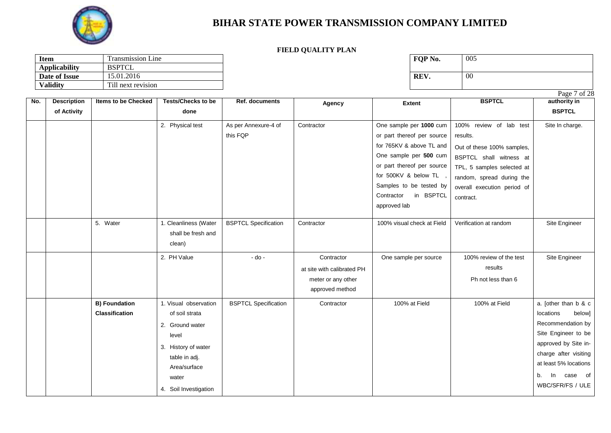

### **FIELD QUALITY PLAN**

| Item                 | Fransmission Line  | FOP No. | 005 |
|----------------------|--------------------|---------|-----|
| <b>Applicability</b> | <b>BSPTCL</b>      |         |     |
| Date of Issue        | 15.01.2016         | REV.    | 00  |
| <b>Validity</b>      | Till next revision |         |     |

| FQP No. | 005    |
|---------|--------|
| REV.    | $00\,$ |

Page 7 of 28

| No. | <b>Description</b> | <b>Items to be Checked</b> | <b>Tests/Checks to be</b>                             | Ref. documents              | Agency                     | <b>Extent</b>              | <b>BSPTCL</b>               | authority in          |
|-----|--------------------|----------------------------|-------------------------------------------------------|-----------------------------|----------------------------|----------------------------|-----------------------------|-----------------------|
|     | of Activity        |                            | done                                                  |                             |                            |                            |                             | <b>BSPTCL</b>         |
|     |                    |                            | 2. Physical test                                      | As per Annexure-4 of        | Contractor                 | One sample per 1000 cum    | 100% review of lab test     | Site In charge.       |
|     |                    |                            |                                                       | this FQP                    |                            | or part thereof per source | results.                    |                       |
|     |                    |                            |                                                       |                             |                            | for 765KV & above TL and   | Out of these 100% samples,  |                       |
|     |                    |                            |                                                       |                             |                            | One sample per 500 cum     | BSPTCL shall witness at     |                       |
|     |                    |                            |                                                       |                             |                            | or part thereof per source | TPL, 5 samples selected at  |                       |
|     |                    |                            |                                                       |                             |                            | for 500KV & below TL       | random, spread during the   |                       |
|     |                    |                            |                                                       |                             |                            | Samples to be tested by    | overall execution period of |                       |
|     |                    |                            |                                                       |                             |                            | in BSPTCL<br>Contractor    | contract.                   |                       |
|     |                    |                            |                                                       |                             |                            | approved lab               |                             |                       |
|     |                    | 5. Water                   | 1. Cleanliness (Water<br>shall be fresh and<br>clean) | <b>BSPTCL Specification</b> | Contractor                 | 100% visual check at Field | Verification at random      | Site Engineer         |
|     |                    |                            | 2. PH Value                                           | $-do -$                     | Contractor                 | One sample per source      | 100% review of the test     | Site Engineer         |
|     |                    |                            |                                                       |                             | at site with calibrated PH |                            | results                     |                       |
|     |                    |                            |                                                       |                             | meter or any other         |                            | Ph not less than 6          |                       |
|     |                    |                            |                                                       |                             | approved method            |                            |                             |                       |
|     |                    | <b>B) Foundation</b>       | 1. Visual observation                                 | <b>BSPTCL Specification</b> | Contractor                 | 100% at Field              | 100% at Field               | a. [other than b & c  |
|     |                    | Classification             | of soil strata                                        |                             |                            |                            |                             | locations<br>below]   |
|     |                    |                            | 2. Ground water                                       |                             |                            |                            |                             | Recommendation by     |
|     |                    |                            | level                                                 |                             |                            |                            |                             | Site Engineer to be   |
|     |                    |                            | 3. History of water                                   |                             |                            |                            |                             | approved by Site in-  |
|     |                    |                            | table in adj.                                         |                             |                            |                            |                             | charge after visiting |
|     |                    |                            | Area/surface                                          |                             |                            |                            |                             | at least 5% locations |
|     |                    |                            | water                                                 |                             |                            |                            |                             | In case of<br>b.      |
|     |                    |                            | 4. Soil Investigation                                 |                             |                            |                            |                             | WBC/SFR/FS / ULE      |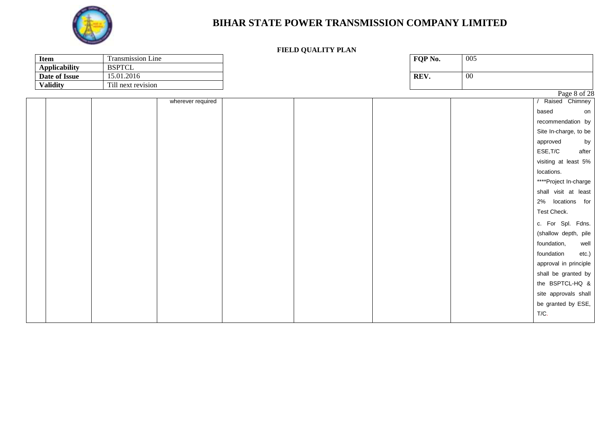

#### **FIELD QUALITY PLAN**

| Item                 | Transmission Line  |                   |  | FQP No. | 005             |                       |
|----------------------|--------------------|-------------------|--|---------|-----------------|-----------------------|
| <b>Applicability</b> | <b>BSPTCL</b>      |                   |  |         |                 |                       |
| Date of Issue        | 15.01.2016         |                   |  | REV.    | $\overline{00}$ |                       |
| <b>Validity</b>      | Till next revision |                   |  |         |                 |                       |
|                      |                    |                   |  |         |                 | Page 8 of 28          |
|                      |                    | wherever required |  |         |                 | Raised Chimney        |
|                      |                    |                   |  |         |                 | based<br>on           |
|                      |                    |                   |  |         |                 | recommendation by     |
|                      |                    |                   |  |         |                 | Site In-charge, to be |
|                      |                    |                   |  |         |                 | approved<br>by        |
|                      |                    |                   |  |         |                 | ESE, T/C<br>after     |
|                      |                    |                   |  |         |                 | visiting at least 5%  |
|                      |                    |                   |  |         |                 | locations.            |
|                      |                    |                   |  |         |                 | ****Project In-charge |
|                      |                    |                   |  |         |                 | shall visit at least  |
|                      |                    |                   |  |         |                 | 2% locations for      |
|                      |                    |                   |  |         |                 | Test Check.           |
|                      |                    |                   |  |         |                 | c. For Spl. Fdns.     |
|                      |                    |                   |  |         |                 | (shallow depth, pile  |
|                      |                    |                   |  |         |                 | foundation,<br>well   |
|                      |                    |                   |  |         |                 | foundation<br>etc.)   |
|                      |                    |                   |  |         |                 | approval in principle |
|                      |                    |                   |  |         |                 | shall be granted by   |
|                      |                    |                   |  |         |                 | the BSPTCL-HQ &       |
|                      |                    |                   |  |         |                 | site approvals shall  |
|                      |                    |                   |  |         |                 | be granted by ESE,    |
|                      |                    |                   |  |         |                 | T/C.                  |
|                      |                    |                   |  |         |                 |                       |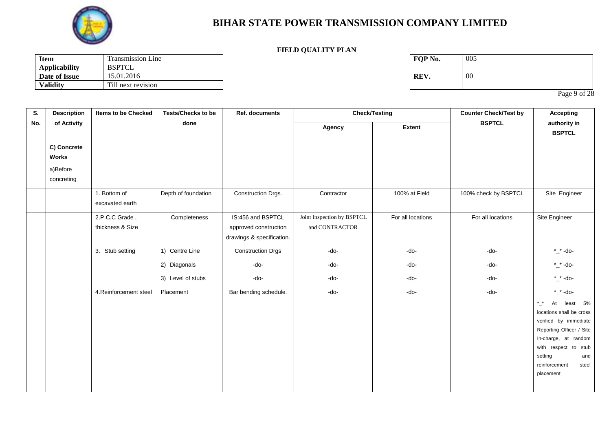

### **FIELD QUALITY PLAN**

| <b>Item</b>          | Fransmission Line  | FOP No. | 005 |
|----------------------|--------------------|---------|-----|
| <b>Applicability</b> | <b>BSPTCL</b>      |         |     |
| Date of Issue        | 15.01.2016         | REV.    | -00 |
| <b>Validity</b>      | Till next revision |         |     |

| FQP No. | 005 |
|---------|-----|
| REV.    | 00  |

Page 9 of 28

| S.  | <b>Description</b>                                    | Items to be Checked                | <b>Tests/Checks to be</b>                           | Ref. documents                                                          | <b>Check/Testing</b>                         |                      | <b>Counter Check/Test by</b> | <b>Accepting</b>                                                                                                                                                                                                                     |  |
|-----|-------------------------------------------------------|------------------------------------|-----------------------------------------------------|-------------------------------------------------------------------------|----------------------------------------------|----------------------|------------------------------|--------------------------------------------------------------------------------------------------------------------------------------------------------------------------------------------------------------------------------------|--|
| No. | of Activity                                           |                                    | done                                                |                                                                         | Agency                                       | <b>Extent</b>        | <b>BSPTCL</b>                | authority in<br><b>BSPTCL</b>                                                                                                                                                                                                        |  |
|     | C) Concrete<br><b>Works</b><br>a)Before<br>concreting |                                    |                                                     |                                                                         |                                              |                      |                              |                                                                                                                                                                                                                                      |  |
|     |                                                       | 1. Bottom of<br>excavated earth    | Depth of foundation                                 | Construction Drgs.                                                      | Contractor                                   | 100% at Field        | 100% check by BSPTCL         | Site Engineer                                                                                                                                                                                                                        |  |
|     |                                                       | 2.P.C.C Grade,<br>thickness & Size | Completeness                                        | IS:456 and BSPTCL<br>approved construction<br>drawings & specification. | Joint Inspection by BSPTCL<br>and CONTRACTOR | For all locations    | For all locations            | Site Engineer                                                                                                                                                                                                                        |  |
|     |                                                       | 3. Stub setting                    | 1) Centre Line<br>2) Diagonals<br>3) Level of stubs | <b>Construction Drgs</b><br>-do-<br>-do-                                | -do-<br>-do-<br>-do-                         | -do-<br>-do-<br>-do- | $-do-$<br>-do-<br>-do-       | $*$ -do-<br>$*$ -do-<br>$\tilde{\phantom{a}}$ -do-                                                                                                                                                                                   |  |
|     |                                                       | 4. Reinforcement steel             | Placement                                           | Bar bending schedule.                                                   | -do-                                         | -do-                 | $-do-$                       | $^*$ -do-<br>$^*{\_}^*$<br>least 5%<br>At<br>locations shall be cross<br>verified by immediate<br>Reporting Officer / Site<br>In-charge, at random<br>with respect to stub<br>and<br>setting<br>reinforcement<br>steel<br>placement. |  |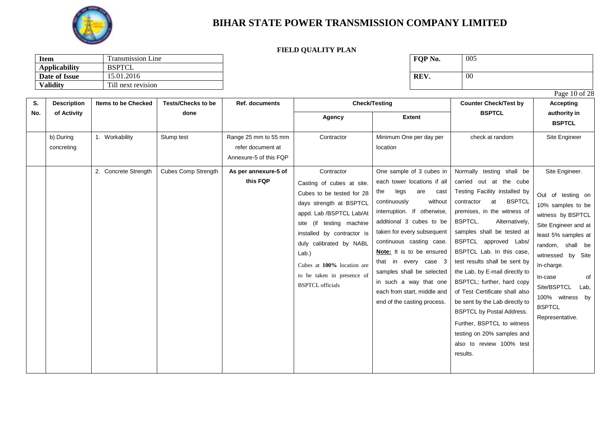

### **FIELD QUALITY PLAN**

| Item                 | Fransmission Line  | FOP No. | 005 |
|----------------------|--------------------|---------|-----|
| <b>Applicability</b> | <b>BSPTCL</b>      |         |     |
| Date of Issue        | 15.01.2016         | REV.    | -00 |
| <b>Validity</b>      | Till next revision |         |     |

| FQP No. | 005 |
|---------|-----|
| REV.    | 00  |

Page 10 of 28

| S.  | <b>Description</b>      | <b>Items to be Checked</b>             | <b>Tests/Checks to be</b>                | Ref. documents                                                                              |                                                                                                                                                                                                                                                                                                       | <b>Check/Testing</b>                                                                                                                                                                                                                                                                                                                                                                | <b>Counter Check/Test by</b>                                                                                                                                                                                                                                                                                                                                                                                                                                                                                                                               | Accepting                                                                                                                                                                                                                                                           |
|-----|-------------------------|----------------------------------------|------------------------------------------|---------------------------------------------------------------------------------------------|-------------------------------------------------------------------------------------------------------------------------------------------------------------------------------------------------------------------------------------------------------------------------------------------------------|-------------------------------------------------------------------------------------------------------------------------------------------------------------------------------------------------------------------------------------------------------------------------------------------------------------------------------------------------------------------------------------|------------------------------------------------------------------------------------------------------------------------------------------------------------------------------------------------------------------------------------------------------------------------------------------------------------------------------------------------------------------------------------------------------------------------------------------------------------------------------------------------------------------------------------------------------------|---------------------------------------------------------------------------------------------------------------------------------------------------------------------------------------------------------------------------------------------------------------------|
| No. | of Activity             |                                        | done                                     |                                                                                             | Agency                                                                                                                                                                                                                                                                                                | <b>Extent</b>                                                                                                                                                                                                                                                                                                                                                                       | <b>BSPTCL</b>                                                                                                                                                                                                                                                                                                                                                                                                                                                                                                                                              | authority in<br><b>BSPTCL</b>                                                                                                                                                                                                                                       |
|     | b) During<br>concreting | 1. Workability<br>2. Concrete Strength | Slump test<br><b>Cubes Comp Strength</b> | Range 25 mm to 55 mm<br>refer document at<br>Annexure-5 of this FQP<br>As per annexure-5 of | Contractor<br>Contractor                                                                                                                                                                                                                                                                              | Minimum One per day per<br>location<br>One sample of 3 cubes in                                                                                                                                                                                                                                                                                                                     | check at random<br>Normally testing shall be                                                                                                                                                                                                                                                                                                                                                                                                                                                                                                               | Site Engineer<br>Site Engineer.                                                                                                                                                                                                                                     |
|     |                         |                                        |                                          | this FQP                                                                                    | Casting of cubes at site.<br>Cubes to be tested for 28<br>days strength at BSPTCL<br>appd. Lab /BSPTCL Lab/At<br>site (if testing machine<br>installed by contractor is<br>duly calibrated by NABL<br>$Lab.$ )<br>Cubes at 100% location are<br>to be taken in presence of<br><b>BSPTCL</b> officials | each tower locations if all<br>the<br>legs<br>are<br>cast<br>without<br>continuously<br>interruption. If otherwise,<br>additional 3 cubes to be<br>taken for every subsequent<br>continuous casting case.<br>Note: It is to be ensured<br>that in every case 3<br>samples shall be selected<br>in such a way that one<br>each from start, middle and<br>end of the casting process. | carried out at the cube<br>Testing Facility installed by<br><b>BSPTCL</b><br>contractor<br>at<br>premises, in the witness of<br>BSPTCL.<br>Alternatively,<br>samples shall be tested at<br>BSPTCL approved Labs/<br>BSPTCL Lab. In this case,<br>test results shall be sent by<br>the Lab, by E-mail directly to<br>BSPTCL; further, hard copy<br>of Test Certificate shall also<br>be sent by the Lab directly to<br><b>BSPTCL by Postal Address.</b><br>Further, BSPTCL to witness<br>testing on 20% samples and<br>also to review 100% test<br>results. | Out of testing on<br>10% samples to be<br>witness by BSPTCL<br>Site Engineer and at<br>least 5% samples at<br>random, shall be<br>by Site<br>witnessed<br>In-charge.<br>of<br>In-case<br>Site/BSPTCL<br>Lab,<br>100% witness by<br><b>BSPTCL</b><br>Representative. |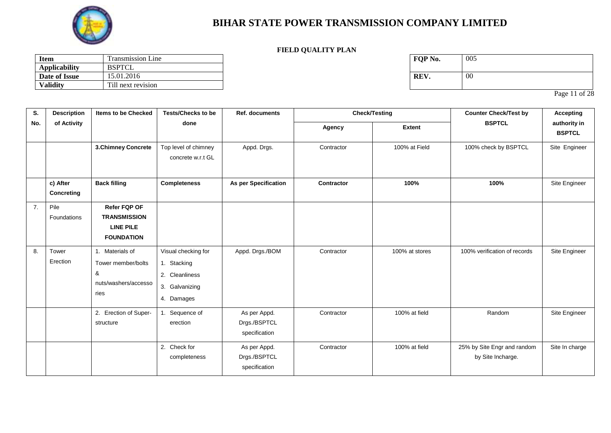

### **FIELD QUALITY PLAN**

| <b>Item</b>          | Fransmission Line  | FOP No. | 005 |
|----------------------|--------------------|---------|-----|
| <b>Applicability</b> | <b>BSPTCL</b>      |         |     |
| Date of Issue        | 15.01.2016         | REV.    | -00 |
| <b>Validity</b>      | Till next revision |         |     |

| FQP No. | 005    |
|---------|--------|
| REV.    | $00\,$ |

Page 11 of 28

| S.  | <b>Description</b>     | <b>Items to be Checked</b>                                                   | <b>Tests/Checks to be</b>                                                            | Ref. documents                                | <b>Check/Testing</b> |                | <b>Counter Check/Test by</b>                     | <b>Accepting</b>              |
|-----|------------------------|------------------------------------------------------------------------------|--------------------------------------------------------------------------------------|-----------------------------------------------|----------------------|----------------|--------------------------------------------------|-------------------------------|
| No. | of Activity            |                                                                              | done                                                                                 |                                               | Agency               | <b>Extent</b>  | <b>BSPTCL</b>                                    | authority in<br><b>BSPTCL</b> |
|     |                        | 3.Chimney Concrete                                                           | Top level of chimney<br>concrete w.r.t GL                                            | Appd. Drgs.                                   | Contractor           | 100% at Field  | 100% check by BSPTCL                             | Site Engineer                 |
|     | c) After<br>Concreting | <b>Back filling</b>                                                          | <b>Completeness</b>                                                                  | As per Specification                          | Contractor           | 100%           | 100%                                             | Site Engineer                 |
| 7.  | Pile<br>Foundations    | Refer FQP OF<br><b>TRANSMISSION</b><br><b>LINE PILE</b><br><b>FOUNDATION</b> |                                                                                      |                                               |                      |                |                                                  |                               |
| 8.  | Tower<br>Erection      | 1. Materials of<br>Tower member/bolts<br>&<br>nuts/washers/accesso<br>ries   | Visual checking for<br>1. Stacking<br>2. Cleanliness<br>3. Galvanizing<br>4. Damages | Appd. Drgs./BOM                               | Contractor           | 100% at stores | 100% verification of records                     | Site Engineer                 |
|     |                        | 2. Erection of Super-<br>structure                                           | Sequence of<br>erection                                                              | As per Appd.<br>Drgs./BSPTCL<br>specification | Contractor           | 100% at field  | Random                                           | Site Engineer                 |
|     |                        |                                                                              | 2. Check for<br>completeness                                                         | As per Appd.<br>Drgs./BSPTCL<br>specification | Contractor           | 100% at field  | 25% by Site Engr and random<br>by Site Incharge. | Site In charge                |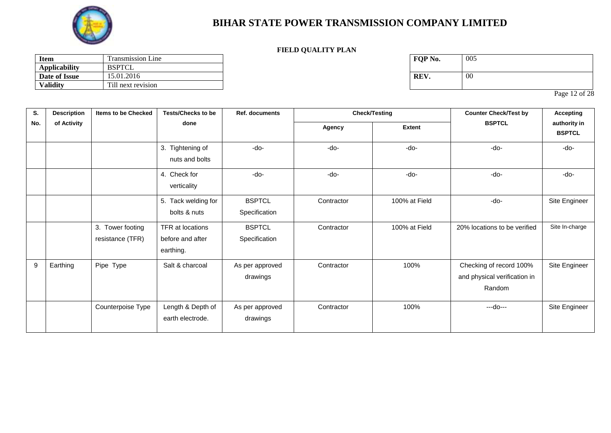

### **FIELD QUALITY PLAN**

| <b>Item</b>          | <b>Transmission Line</b> | FOP No. | 005 |
|----------------------|--------------------------|---------|-----|
| <b>Applicability</b> | <b>BSPTCL</b>            |         |     |
| Date of Issue        | 15.01.2016               | REV.    | -00 |
| <b>Validity</b>      | Till next revision       |         |     |

| FQP No. | 005    |
|---------|--------|
| REV.    | $00\,$ |

Page 12 of 28

| S.               | <b>Description</b> | <b>Items to be Checked</b>           | <b>Tests/Checks to be</b>                         | Ref. documents                 |            | <b>Check/Testing</b> | <b>Counter Check/Test by</b><br><b>Accepting</b>                  |                               |
|------------------|--------------------|--------------------------------------|---------------------------------------------------|--------------------------------|------------|----------------------|-------------------------------------------------------------------|-------------------------------|
| No.              | of Activity        |                                      | done                                              |                                | Agency     | <b>Extent</b>        | <b>BSPTCL</b>                                                     | authority in<br><b>BSPTCL</b> |
|                  |                    |                                      | 3. Tightening of<br>nuts and bolts                | -do-                           | -do-       | -do-                 | -do-                                                              | -do-                          |
|                  |                    |                                      | 4. Check for<br>verticality                       | -do-                           | $-do-$     | $-do-$               | -do-                                                              | -do-                          |
|                  |                    |                                      | 5. Tack welding for<br>bolts & nuts               | <b>BSPTCL</b><br>Specification | Contractor | 100% at Field        | -do-                                                              | Site Engineer                 |
|                  |                    | 3. Tower footing<br>resistance (TFR) | TFR at locations<br>before and after<br>earthing. | <b>BSPTCL</b><br>Specification | Contractor | 100% at Field        | 20% locations to be verified                                      | Site In-charge                |
| $\boldsymbol{9}$ | Earthing           | Pipe Type                            | Salt & charcoal                                   | As per approved<br>drawings    | Contractor | 100%                 | Checking of record 100%<br>and physical verification in<br>Random | Site Engineer                 |
|                  |                    | Counterpoise Type                    | Length & Depth of<br>earth electrode.             | As per approved<br>drawings    | Contractor | 100%                 | ---do---                                                          | Site Engineer                 |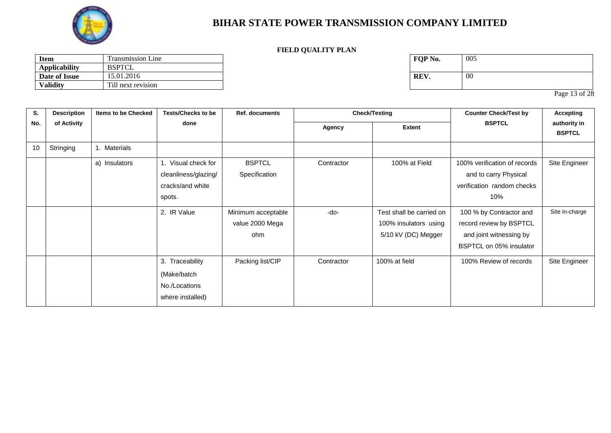

### **FIELD QUALITY PLAN**

| <b>Item</b>          | <b>Transmission Line</b> | FOP No. | 005 |
|----------------------|--------------------------|---------|-----|
| <b>Applicability</b> | <b>BSPTCL</b>            |         |     |
| Date of Issue        | 15.01.2016               | REV.    | 00  |
| <b>Validity</b>      | Till next revision       |         |     |

| FQP No. | 005    |
|---------|--------|
| REV.    | $00\,$ |

Page 13 of 28

| S.  | <b>Description</b> | Items to be Checked | <b>Tests/Checks to be</b>                                                 | <b>Ref. documents</b>                        | <b>Check/Testing</b> |                                                                          | <b>Counter Check/Test by</b>                                                                             | <b>Accepting</b>              |
|-----|--------------------|---------------------|---------------------------------------------------------------------------|----------------------------------------------|----------------------|--------------------------------------------------------------------------|----------------------------------------------------------------------------------------------------------|-------------------------------|
| No. | of Activity        |                     | done                                                                      |                                              | Agency               | <b>Extent</b>                                                            | <b>BSPTCL</b>                                                                                            | authority in<br><b>BSPTCL</b> |
| 10  | Stringing          | Materials           |                                                                           |                                              |                      |                                                                          |                                                                                                          |                               |
|     |                    | a) Insulators       | 1. Visual check for<br>cleanliness/glazing/<br>cracks/and white<br>spots. | <b>BSPTCL</b><br>Specification               | Contractor           | 100% at Field                                                            | 100% verification of records<br>and to carry Physical<br>verification random checks<br>10%               | Site Engineer                 |
|     |                    |                     | 2. IR Value                                                               | Minimum acceptable<br>value 2000 Mega<br>ohm | -do-                 | Test shall be carried on<br>100% insulators using<br>5/10 kV (DC) Megger | 100 % by Contractor and<br>record review by BSPTCL<br>and joint witnessing by<br>BSPTCL on 05% insulator | Site In-charge                |
|     |                    |                     | 3. Traceability<br>(Make/batch<br>No./Locations<br>where installed)       | Packing list/CIP                             | Contractor           | 100% at field                                                            | 100% Review of records                                                                                   | Site Engineer                 |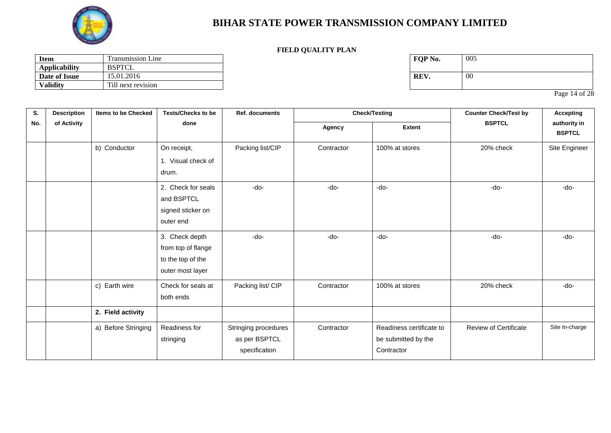

### **FIELD QUALITY PLAN**

| <b>Item</b>          | <b>Transmission Line</b> | FOP No. | 005 |
|----------------------|--------------------------|---------|-----|
| <b>Applicability</b> | <b>BSPTCL</b>            |         |     |
| Date of Issue        | 15.01.2016               | REV.    | 00  |
| <b>Validity</b>      | Till next revision       |         |     |

| FQP No. | 005    |
|---------|--------|
| REV.    | $00\,$ |

Page 14 of 28

| S.  | <b>Description</b> | <b>Items to be Checked</b> | <b>Tests/Checks to be</b>                                                     | <b>Ref. documents</b>                                  | <b>Check/Testing</b> |                                                               | <b>Counter Check/Test by</b> | <b>Accepting</b>              |
|-----|--------------------|----------------------------|-------------------------------------------------------------------------------|--------------------------------------------------------|----------------------|---------------------------------------------------------------|------------------------------|-------------------------------|
| No. | of Activity        |                            | done                                                                          |                                                        | Agency               | <b>Extent</b>                                                 | <b>BSPTCL</b>                | authority in<br><b>BSPTCL</b> |
|     |                    | b) Conductor               | On receipt,<br>1. Visual check of<br>drum.                                    | Packing list/CIP                                       | Contractor           | 100% at stores                                                | 20% check                    | Site Engineer                 |
|     |                    |                            | 2. Check for seals<br>and BSPTCL<br>signed sticker on<br>outer end            | -do-                                                   | -do-                 | -do-                                                          | -do-                         | -do-                          |
|     |                    |                            | 3. Check depth<br>from top of flange<br>to the top of the<br>outer most layer | -do-                                                   | -do-                 | -do-                                                          | -do-                         | -do-                          |
|     |                    | c) Earth wire              | Check for seals at<br>both ends                                               | Packing list/CIP                                       | Contractor           | 100% at stores                                                | 20% check                    | -do-                          |
|     |                    | 2. Field activity          |                                                                               |                                                        |                      |                                                               |                              |                               |
|     |                    | a) Before Stringing        | Readiness for<br>stringing                                                    | Stringing procedures<br>as per BSPTCL<br>specification | Contractor           | Readiness certificate to<br>be submitted by the<br>Contractor | <b>Review of Certificate</b> | Site In-charge                |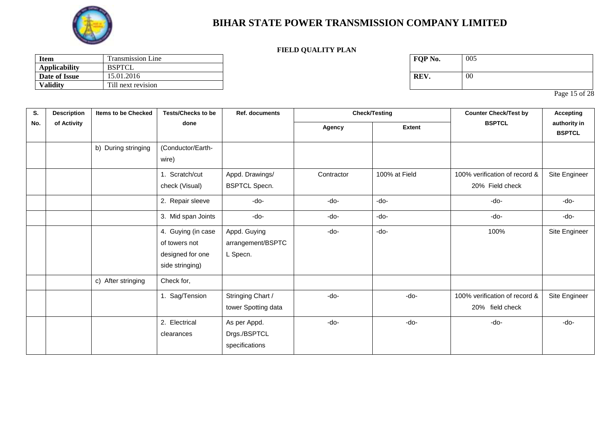

### **FIELD QUALITY PLAN**

| <b>Item</b>          | <b>Transmission Line</b><br>— | FOP No. | 005 |
|----------------------|-------------------------------|---------|-----|
| <b>Applicability</b> | <b>BSPTCL</b>                 |         |     |
| Date of Issue        | 15.01.2016                    | REV.    | -00 |
| <b>Validity</b>      | Till next revision            |         |     |

| FQP No. | 005    |
|---------|--------|
| REV.    | $00\,$ |

Page 15 of 28

| S.  | <b>Description</b> | <b>Items to be Checked</b> | <b>Tests/Checks to be</b>                                                  | <b>Ref. documents</b>                          | <b>Check/Testing</b> |               | <b>Counter Check/Test by</b>                     | <b>Accepting</b>              |
|-----|--------------------|----------------------------|----------------------------------------------------------------------------|------------------------------------------------|----------------------|---------------|--------------------------------------------------|-------------------------------|
| No. | of Activity        |                            | done                                                                       |                                                | Agency               | <b>Extent</b> | <b>BSPTCL</b>                                    | authority in<br><b>BSPTCL</b> |
|     |                    | b) During stringing        | (Conductor/Earth-<br>wire)                                                 |                                                |                      |               |                                                  |                               |
|     |                    |                            | 1. Scratch/cut<br>check (Visual)                                           | Appd. Drawings/<br><b>BSPTCL Specn.</b>        | Contractor           | 100% at Field | 100% verification of record &<br>20% Field check | Site Engineer                 |
|     |                    |                            | 2. Repair sleeve                                                           | -do-                                           | -do-                 | -do-          | -do-                                             | -do-                          |
|     |                    |                            | 3. Mid span Joints                                                         | -do-                                           | -do-                 | -do-          | -do-                                             | -do-                          |
|     |                    |                            | 4. Guying (in case<br>of towers not<br>designed for one<br>side stringing) | Appd. Guying<br>arrangement/BSPTC<br>L Specn.  | -do-                 | -do-          | 100%                                             | Site Engineer                 |
|     |                    | c) After stringing         | Check for,                                                                 |                                                |                      |               |                                                  |                               |
|     |                    |                            | 1. Sag/Tension                                                             | Stringing Chart /<br>tower Spotting data       | -do-                 | -do-          | 100% verification of record &<br>20% field check | Site Engineer                 |
|     |                    |                            | 2. Electrical<br>clearances                                                | As per Appd.<br>Drgs./BSPTCL<br>specifications | -do-                 | -do-          | -do-                                             | -do-                          |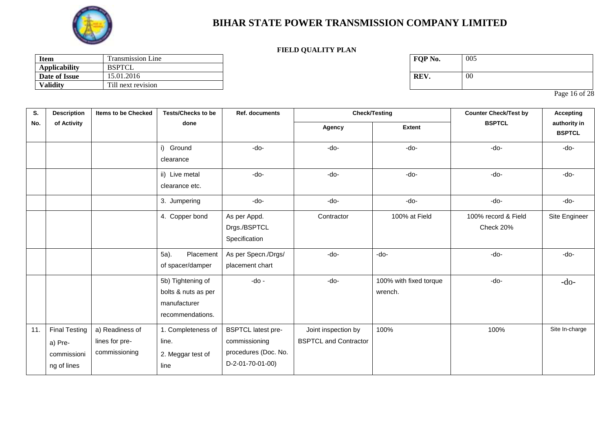

### **FIELD QUALITY PLAN**

| <b>Item</b>          | <b>Transmission Line</b><br>— | FOP No. | 005 |
|----------------------|-------------------------------|---------|-----|
| <b>Applicability</b> | <b>BSPTCL</b>                 |         |     |
| Date of Issue        | 15.01.2016                    | REV.    | -00 |
| <b>Validity</b>      | Till next revision            |         |     |

| FQP No. | 005    |
|---------|--------|
| REV.    | $00\,$ |

Page 16 of 28

| S.  | <b>Description</b>                                            | <b>Items to be Checked</b>                         | <b>Tests/Checks to be</b>                                                    | Ref. documents                                                                         | <b>Check/Testing</b>                                |                                   | <b>Counter Check/Test by</b><br><b>Accepting</b> |                               |
|-----|---------------------------------------------------------------|----------------------------------------------------|------------------------------------------------------------------------------|----------------------------------------------------------------------------------------|-----------------------------------------------------|-----------------------------------|--------------------------------------------------|-------------------------------|
| No. | of Activity                                                   |                                                    | done                                                                         |                                                                                        | Agency                                              | <b>Extent</b>                     | <b>BSPTCL</b>                                    | authority in<br><b>BSPTCL</b> |
|     |                                                               |                                                    | i) Ground<br>clearance                                                       | -do-                                                                                   | -do-                                                | -do-                              | -do-                                             | -do-                          |
|     |                                                               |                                                    | ii) Live metal<br>clearance etc.                                             | $-do-$                                                                                 | -do-                                                | -do-                              | -do-                                             | -do-                          |
|     |                                                               |                                                    | 3. Jumpering                                                                 | -do-                                                                                   | -do-                                                | -do-                              | -do-                                             | -do-                          |
|     |                                                               |                                                    | 4. Copper bond                                                               | As per Appd.<br>Drgs./BSPTCL<br>Specification                                          | Contractor                                          | 100% at Field                     | 100% record & Field<br>Check 20%                 | Site Engineer                 |
|     |                                                               |                                                    | Placement<br>5a).<br>of spacer/damper                                        | As per Specn./Drgs/<br>placement chart                                                 | -do-                                                | -do-                              | -do-                                             | -do-                          |
|     |                                                               |                                                    | 5b) Tightening of<br>bolts & nuts as per<br>manufacturer<br>recommendations. | $-do -$                                                                                | -do-                                                | 100% with fixed torque<br>wrench. | -do-                                             | $-do-$                        |
| 11. | <b>Final Testing</b><br>a) Pre-<br>commissioni<br>ng of lines | a) Readiness of<br>lines for pre-<br>commissioning | 1. Completeness of<br>line.<br>2. Meggar test of<br>line                     | <b>BSPTCL latest pre-</b><br>commissioning<br>procedures (Doc. No.<br>D-2-01-70-01-00) | Joint inspection by<br><b>BSPTCL and Contractor</b> | 100%                              | 100%                                             | Site In-charge                |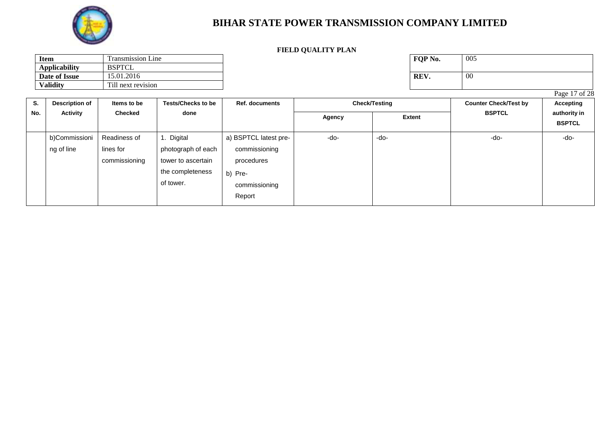

#### **FIELD QUALITY PLAN**

| <b>Item</b>          | Fransmission Line  | FOP No. | 005 |
|----------------------|--------------------|---------|-----|
| <b>Applicability</b> | <b>BSPTCL</b>      |         |     |
| Date of Issue        | 15.01.2016         | REV.    | -00 |
| <b>Validity</b>      | Till next revision |         |     |

| FQP No. | 005 |
|---------|-----|
| REV.    | UU  |

Page 17 of 28

| S.  | <b>Description of</b>       | Items to be                                | <b>Tests/Checks to be</b>                                                            | <b>Ref. documents</b>                                                                      |               | <b>Check/Testing</b> | <b>Counter Check/Test by</b> | ۔ ص<br><b>Accepting</b>       |
|-----|-----------------------------|--------------------------------------------|--------------------------------------------------------------------------------------|--------------------------------------------------------------------------------------------|---------------|----------------------|------------------------------|-------------------------------|
| No. | Activity                    | <b>Checked</b>                             | done                                                                                 |                                                                                            | <b>Agency</b> | <b>Extent</b>        | <b>BSPTCL</b>                | authority in<br><b>BSPTCL</b> |
|     | b)Commissioni<br>ng of line | Readiness of<br>lines for<br>commissioning | Digital<br>photograph of each<br>tower to ascertain<br>the completeness<br>of tower. | a) BSPTCL latest pre-<br>commissioning<br>procedures<br>b) Pre-<br>commissioning<br>Report | -do-          | -do-                 | -do-                         | -do-                          |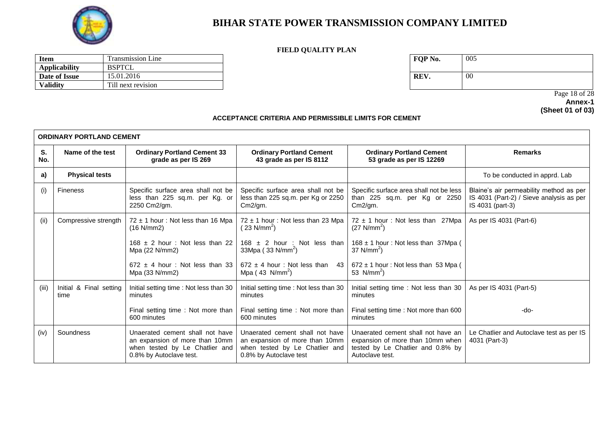

#### **FIELD QUALITY PLAN**

| <b>Item</b>          | Transmission Line  | FOP No. | 005 |
|----------------------|--------------------|---------|-----|
| <b>Applicability</b> | <b>BSPTCL</b>      |         |     |
| Date of Issue        | 15.01.2016         | REV.    | 00  |
| <b>Validity</b>      | Till next revision |         |     |

| FQP No. | 005    |
|---------|--------|
| REV.    | $00\,$ |

 Page 18 of 28 **Annex-1 (Sheet 01 of 03)**

#### **ACCEPTANCE CRITERIA AND PERMISSIBLE LIMITS FOR CEMENT**

|           | <b>ORDINARY PORTLAND CEMENT</b> |                                                                                                                                |                                                                                                                               |                                                                                                                                |                                                                                                         |  |
|-----------|---------------------------------|--------------------------------------------------------------------------------------------------------------------------------|-------------------------------------------------------------------------------------------------------------------------------|--------------------------------------------------------------------------------------------------------------------------------|---------------------------------------------------------------------------------------------------------|--|
| S.<br>No. | Name of the test                | <b>Ordinary Portland Cement 33</b><br>grade as per IS 269                                                                      | <b>Ordinary Portland Cement</b><br>43 grade as per IS 8112                                                                    | <b>Ordinary Portland Cement</b><br>53 grade as per IS 12269                                                                    | <b>Remarks</b>                                                                                          |  |
| a)        | <b>Physical tests</b>           |                                                                                                                                |                                                                                                                               |                                                                                                                                | To be conducted in apprd. Lab                                                                           |  |
| (i)       | <b>Fineness</b>                 | Specific surface area shall not be<br>less than 225 sq.m. per Kg. or<br>2250 Cm2/gm.                                           | Specific surface area shall not be<br>less than 225 sq.m. per Kg or 2250<br>$Cm2$ /qm.                                        | Specific surface area shall not be less<br>than 225 sq.m. per Kg or 2250<br>$Cm2$ /qm.                                         | Blaine's air permeability method as per<br>IS 4031 (Part-2) / Sieve analysis as per<br>IS 4031 (part-3) |  |
| (ii)      | Compressive strength            | $72 \pm 1$ hour: Not less than 16 Mpa<br>(16 N/mm2)                                                                            | $72 \pm 1$ hour: Not less than 23 Mpa<br>(23 N/mm <sup>2</sup> )                                                              | $72 \pm 1$ hour: Not less than 27Mpa<br>$(27 \text{ N/mm}^2)$                                                                  | As per IS 4031 (Part-6)                                                                                 |  |
|           |                                 | 168 $\pm$ 2 hour : Not less than 22<br>Mpa (22 N/mm2)                                                                          | $168 \pm 2$ hour : Not less than<br>33Mpa ( $33$ N/mm <sup>2</sup> )                                                          | $168 \pm 1$ hour: Not less than 37Mpa (<br>37 $N/mm^2$ )                                                                       |                                                                                                         |  |
|           |                                 | $672 \pm 4$ hour: Not less than 33<br>Mpa (33 N/mm2)                                                                           | $672 \pm 4$ hour: Not less than 43<br>Mpa $(43 \text{ N/mm}^2)$                                                               | $672 \pm 1$ hour: Not less than 53 Mpa (<br>53 $N/mm^2$ )                                                                      |                                                                                                         |  |
| (iii)     | Initial & Final setting<br>time | Initial setting time: Not less than 30<br>minutes                                                                              | Initial setting time: Not less than 30<br>minutes                                                                             | Initial setting time: Not less than 30<br>minutes                                                                              | As per IS 4031 (Part-5)                                                                                 |  |
|           |                                 | Final setting time: Not more than<br>600 minutes                                                                               | Final setting time: Not more than<br>600 minutes                                                                              | Final setting time: Not more than 600<br>minutes                                                                               | -do-                                                                                                    |  |
| (iv)      | Soundness                       | Unaerated cement shall not have<br>an expansion of more than 10mm<br>when tested by Le Chatlier and<br>0.8% by Autoclave test. | Unaerated cement shall not have<br>an expansion of more than 10mm<br>when tested by Le Chatlier and<br>0.8% by Autoclave test | Unaerated cement shall not have an<br>expansion of more than 10mm when<br>tested by Le Chatlier and 0.8% by<br>Autoclave test. | Le Chatlier and Autoclave test as per IS<br>4031 (Part-3)                                               |  |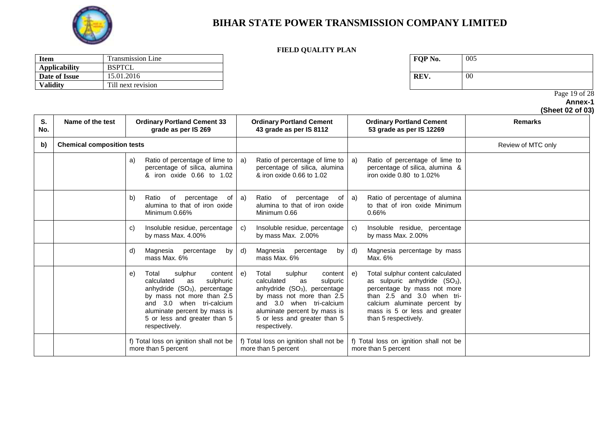

#### **FIELD QUALITY PLAN**

| <b>Item</b>          | Fransmission Line  | FOP No. | 005 |
|----------------------|--------------------|---------|-----|
| <b>Applicability</b> | <b>BSPTCL</b>      |         |     |
| Date of Issue        | 15.01.2016         | REV.    | -00 |
| <b>Validity</b>      | Till next revision |         |     |

| FQP No. | 005 |
|---------|-----|
| REV.    | 00  |

 Page 19 of 28 **Annex-1**

| S.<br>No. | Name of the test                  | <b>Ordinary Portland Cement 33</b><br>grade as per IS 269                                                                                                                                                                                                | <b>Ordinary Portland Cement</b><br>43 grade as per IS 8112                                                                                                                                                                                                   | <b>Ordinary Portland Cement</b><br>53 grade as per IS 12269                                                                                                                                                               | <b>Remarks</b>     |
|-----------|-----------------------------------|----------------------------------------------------------------------------------------------------------------------------------------------------------------------------------------------------------------------------------------------------------|--------------------------------------------------------------------------------------------------------------------------------------------------------------------------------------------------------------------------------------------------------------|---------------------------------------------------------------------------------------------------------------------------------------------------------------------------------------------------------------------------|--------------------|
| b)        | <b>Chemical composition tests</b> |                                                                                                                                                                                                                                                          |                                                                                                                                                                                                                                                              |                                                                                                                                                                                                                           | Review of MTC only |
|           |                                   | Ratio of percentage of lime to<br>a)<br>percentage of silica, alumina<br>& iron oxide 0.66 to 1.02                                                                                                                                                       | Ratio of percentage of lime to<br>a)<br>percentage of silica, alumina<br>& iron oxide 0.66 to 1.02                                                                                                                                                           | Ratio of percentage of lime to<br>a)<br>percentage of silica, alumina &<br>iron oxide 0.80 to 1.02%                                                                                                                       |                    |
|           |                                   | b)<br>Ratio<br>оf<br>percentage<br>оf<br>alumina to that of iron oxide<br>Minimum 0.66%                                                                                                                                                                  | percentage<br>a)<br>Ratio<br>of<br>alumina to that of iron oxide<br>Minimum 0.66                                                                                                                                                                             | Ratio of percentage of alumina<br>of $a)$<br>to that of iron oxide Minimum<br>0.66%                                                                                                                                       |                    |
|           |                                   | Insoluble residue, percentage<br>C)<br>by mass Max. 4.00%                                                                                                                                                                                                | Insoluble residue, percentage<br>C)<br>by mass Max. 2.00%                                                                                                                                                                                                    | Insoluble residue, percentage<br>C)<br>by mass Max. 2.00%                                                                                                                                                                 |                    |
|           |                                   | Magnesia<br>percentage<br>by<br>d)<br>mass Max. 6%                                                                                                                                                                                                       | Magnesia<br>percentage<br>d)<br>by<br>mass Max. 6%                                                                                                                                                                                                           | Magnesia percentage by mass<br>d)<br>Max. 6%                                                                                                                                                                              |                    |
|           |                                   | Total<br>sulphur<br>content<br>e)<br>sulphuric<br>calculated<br>as<br>anhydride (SO <sub>3</sub> ), percentage<br>by mass not more than 2.5<br>and 3.0 when tri-calcium<br>aluminate percent by mass is<br>5 or less and greater than 5<br>respectively. | Total<br>sulphur<br>content   e)<br>e)<br>calculated<br>sulpuric<br>as<br>anhydride (SO <sub>3</sub> ), percentage<br>by mass not more than 2.5<br>and 3.0 when tri-calcium<br>aluminate percent by mass is<br>5 or less and greater than 5<br>respectively. | Total sulphur content calculated<br>as sulpuric anhydride $(SO3)$ ,<br>percentage by mass not more<br>than 2.5 and 3.0 when tri-<br>calcium aluminate percent by<br>mass is 5 or less and greater<br>than 5 respectively. |                    |
|           |                                   | f) Total loss on ignition shall not be<br>more than 5 percent                                                                                                                                                                                            | f) Total loss on ignition shall not be<br>more than 5 percent                                                                                                                                                                                                | f) Total loss on ignition shall not be<br>more than 5 percent                                                                                                                                                             |                    |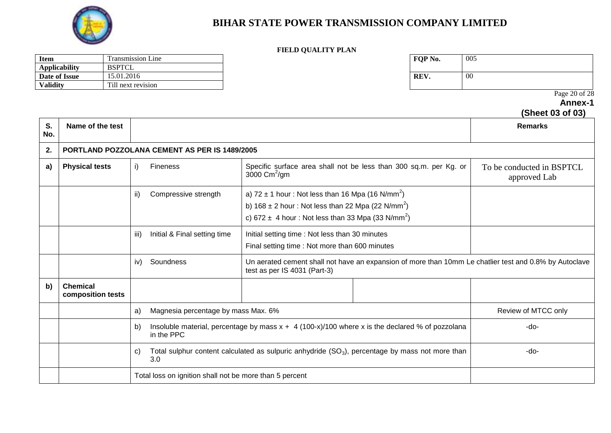

### **FIELD QUALITY PLAN**

| <b>Item</b>          | <b>Transmission Line</b> | FOP No. | 005 |
|----------------------|--------------------------|---------|-----|
| <b>Applicability</b> | <b>BSPTCL</b>            |         |     |
| Date of Issue        | 15.01.2016               | REV.    | 00  |
| <b>Validity</b>      | Till next revision       |         |     |

| FQP No. | 005 |
|---------|-----|
| REV.    | 00  |

#### Page 20 of 28 **Annex-1**

# **(Sheet 03 of 03)**

| S.<br>No. | Name of the test                     |                                                                                                                       |                                                                                                                                                                                                            | <b>Remarks</b>                            |
|-----------|--------------------------------------|-----------------------------------------------------------------------------------------------------------------------|------------------------------------------------------------------------------------------------------------------------------------------------------------------------------------------------------------|-------------------------------------------|
| 2.        |                                      | PORTLAND POZZOLANA CEMENT AS PER IS 1489/2005                                                                         |                                                                                                                                                                                                            |                                           |
| a)        | <b>Physical tests</b>                | i)<br>Fineness                                                                                                        | Specific surface area shall not be less than 300 sq.m. per Kg. or<br>3000 $\text{Cm}^2/\text{gm}$                                                                                                          | To be conducted in BSPTCL<br>approved Lab |
|           |                                      | ii)<br>Compressive strength                                                                                           | a) $72 \pm 1$ hour: Not less than 16 Mpa (16 N/mm <sup>2</sup> )<br>b) $168 \pm 2$ hour: Not less than 22 Mpa (22 N/mm <sup>2</sup> )<br>c) 672 $\pm$ 4 hour: Not less than 33 Mpa (33 N/mm <sup>2</sup> ) |                                           |
|           |                                      | iii)<br>Initial & Final setting time                                                                                  | Initial setting time: Not less than 30 minutes<br>Final setting time: Not more than 600 minutes                                                                                                            |                                           |
|           |                                      | Soundness<br>iv)                                                                                                      | Un aerated cement shall not have an expansion of more than 10mm Le chatlier test and 0.8% by Autoclave<br>test as per IS 4031 (Part-3)                                                                     |                                           |
| b)        | <b>Chemical</b><br>composition tests |                                                                                                                       |                                                                                                                                                                                                            |                                           |
|           |                                      | Magnesia percentage by mass Max. 6%<br>a)                                                                             |                                                                                                                                                                                                            | Review of MTCC only                       |
|           |                                      | Insoluble material, percentage by mass $x + 4$ (100-x)/100 where x is the declared % of pozzolana<br>b)<br>in the PPC | -do-                                                                                                                                                                                                       |                                           |
|           |                                      | Total sulphur content calculated as sulpuric anhydride $(SO_3)$ , percentage by mass not more than<br>C)<br>3.0       | -do-                                                                                                                                                                                                       |                                           |
|           |                                      | Total loss on ignition shall not be more than 5 percent                                                               |                                                                                                                                                                                                            |                                           |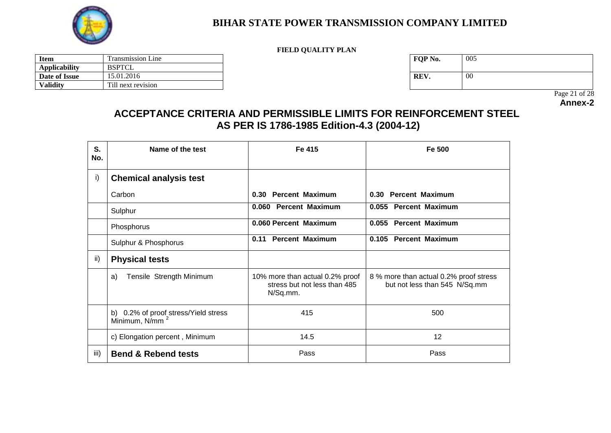

#### **FIELD QUALITY PLAN**

| <b>Item</b>          | Fransmission Line  | FOP No. | 005 |
|----------------------|--------------------|---------|-----|
| <b>Applicability</b> | <b>BSPTCL</b>      |         |     |
| Date of Issue        | 15.01.2016         | REV.    | 00  |
| Validity             | Till next revision |         |     |

| FQP No. | 005 |
|---------|-----|
| REV.    | 00  |

 Page 21 of 28 **Annex-2**

# **ACCEPTANCE CRITERIA AND PERMISSIBLE LIMITS FOR REINFORCEMENT STEEL AS PER IS 1786-1985 Edition-4.3 (2004-12)**

| S.<br>No. | Name of the test                                                   | Fe 415                                                                      | Fe 500                                                                  |
|-----------|--------------------------------------------------------------------|-----------------------------------------------------------------------------|-------------------------------------------------------------------------|
| i)        | <b>Chemical analysis test</b>                                      |                                                                             |                                                                         |
|           | Carbon                                                             | <b>Percent Maximum</b><br>0.30                                              | 0.30 Percent Maximum                                                    |
|           | Sulphur                                                            | 0.060 Percent Maximum                                                       | 0.055 Percent Maximum                                                   |
|           | Phosphorus                                                         | 0.060 Percent Maximum                                                       | 0.055 Percent Maximum                                                   |
|           | Sulphur & Phosphorus                                               | <b>Percent Maximum</b><br>0.11                                              | 0.105 Percent Maximum                                                   |
| ii)       | <b>Physical tests</b>                                              |                                                                             |                                                                         |
|           | Tensile Strength Minimum<br>a)                                     | 10% more than actual 0.2% proof<br>stress but not less than 485<br>N/Sq.mm. | 8 % more than actual 0.2% proof stress<br>but not less than 545 N/Sq.mm |
|           | b) 0.2% of proof stress/Yield stress<br>Minimum, N/mm <sup>2</sup> | 415                                                                         | 500                                                                     |
|           | c) Elongation percent, Minimum                                     | 14.5                                                                        | 12                                                                      |
| iii)      | <b>Bend &amp; Rebend tests</b>                                     | Pass                                                                        | Pass                                                                    |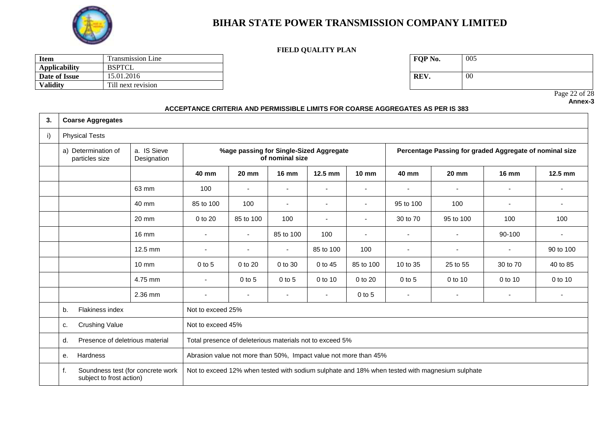

#### **FIELD QUALITY PLAN**

| Item                 | Transmission Line  | FOP No. | 005 |
|----------------------|--------------------|---------|-----|
| <b>Applicability</b> | <b>BSPTCL</b>      |         |     |
| Date of Issue        | 15.01.2016         | REV.    | 00  |
| <b>Validity</b>      | Till next revision |         |     |

| FQP No. | 005    |
|---------|--------|
| REV.    | $00\,$ |

 Page 22 of 28 **Annex-3**

#### **ACCEPTANCE CRITERIA AND PERMISSIBLE LIMITS FOR COARSE AGGREGATES AS PER IS 383**

| 3. | <b>Coarse Aggregates</b>                                            |                            |                                                                  |                          |                          |                                                         |                 |                          |                                                                                                |                |           |
|----|---------------------------------------------------------------------|----------------------------|------------------------------------------------------------------|--------------------------|--------------------------|---------------------------------------------------------|-----------------|--------------------------|------------------------------------------------------------------------------------------------|----------------|-----------|
| i) | <b>Physical Tests</b>                                               |                            |                                                                  |                          |                          |                                                         |                 |                          |                                                                                                |                |           |
|    | a) Determination of<br>particles size                               | a. IS Sieve<br>Designation | %age passing for Single-Sized Aggregate<br>of nominal size       |                          |                          | Percentage Passing for graded Aggregate of nominal size |                 |                          |                                                                                                |                |           |
|    |                                                                     |                            | 40 mm                                                            | $20 \text{ mm}$          | $16 \text{ mm}$          | 12.5 mm                                                 | $10 \text{ mm}$ | 40 mm                    | $20 \text{ mm}$                                                                                | <b>16 mm</b>   | $12.5$ mm |
|    |                                                                     | 63 mm                      | 100                                                              | $\blacksquare$           | $\blacksquare$           |                                                         | $\blacksquare$  |                          | $\blacksquare$                                                                                 |                |           |
|    |                                                                     | 40 mm                      | 85 to 100                                                        | 100                      | $\overline{\phantom{a}}$ |                                                         | $\blacksquare$  | 95 to 100                | 100                                                                                            |                |           |
|    |                                                                     | $20 \text{ mm}$            | 0 to 20                                                          | 85 to 100                | 100                      | $\blacksquare$                                          | ٠               | 30 to 70                 | 95 to 100                                                                                      | 100            | 100       |
|    |                                                                     | $16 \text{ mm}$            | $\overline{a}$                                                   | $\blacksquare$           | 85 to 100                | 100                                                     | $\blacksquare$  | ÷                        | $\sim$                                                                                         | 90-100         | $\sim$    |
|    |                                                                     | 12.5 mm                    | $\overline{\phantom{0}}$                                         |                          | $\overline{\phantom{a}}$ | 85 to 100                                               | 100             | $\overline{\phantom{a}}$ | $\overline{\phantom{a}}$                                                                       |                | 90 to 100 |
|    |                                                                     | $10 \text{ mm}$            | $0$ to 5                                                         | 0 to 20                  | 0 to 30                  | 0 to 45                                                 | 85 to 100       | 10 to 35                 | 25 to 55                                                                                       | 30 to 70       | 40 to 85  |
|    |                                                                     | 4.75 mm                    | -                                                                | $0$ to 5                 | $0$ to 5                 | 0 to 10                                                 | 0 to 20         | $0$ to 5                 | 0 to 10                                                                                        | 0 to 10        | 0 to 10   |
|    |                                                                     | 2.36 mm                    | $\sim$                                                           | $\overline{\phantom{a}}$ | $\overline{\phantom{a}}$ | $\sim$                                                  | $0$ to 5        | $\sim$                   | $\overline{\phantom{a}}$                                                                       | $\blacksquare$ | $\sim$    |
|    | Flakiness index<br>b.                                               |                            | Not to exceed 25%                                                |                          |                          |                                                         |                 |                          |                                                                                                |                |           |
|    | <b>Crushing Value</b><br>c.                                         |                            | Not to exceed 45%                                                |                          |                          |                                                         |                 |                          |                                                                                                |                |           |
|    | Presence of deletrious material<br>d.                               |                            | Total presence of deleterious materials not to exceed 5%         |                          |                          |                                                         |                 |                          |                                                                                                |                |           |
|    | Hardness<br>е.                                                      |                            | Abrasion value not more than 50%, Impact value not more than 45% |                          |                          |                                                         |                 |                          |                                                                                                |                |           |
|    | Soundness test (for concrete work<br>f.<br>subject to frost action) |                            |                                                                  |                          |                          |                                                         |                 |                          | Not to exceed 12% when tested with sodium sulphate and 18% when tested with magnesium sulphate |                |           |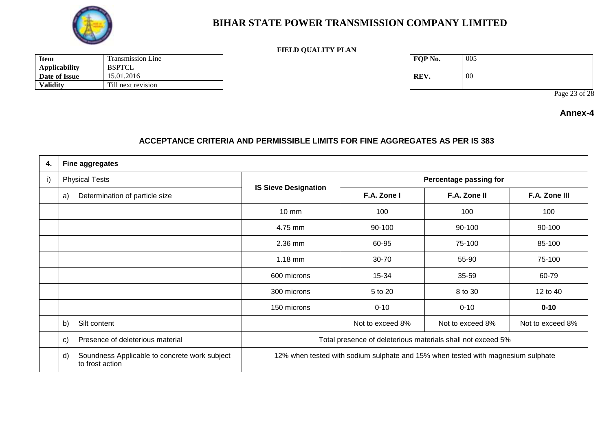

### **BIHAR STATE POWER TRANSMISSION COMPANY LIMITED**

#### **FIELD QUALITY PLAN**

|                      | THEFT CONTRITT TERM |  |         |     |  |  |  |
|----------------------|---------------------|--|---------|-----|--|--|--|
| Item                 | Fransmission Line   |  | FOP No. | 005 |  |  |  |
| <b>Applicability</b> | <b>BSPTCL</b>       |  |         |     |  |  |  |
| Date of Issue        | 15.01.2016          |  | REV.    | -00 |  |  |  |
| Validity             | Till next revision  |  |         |     |  |  |  |

Page 23 of 28

#### **Annex-4**

#### **ACCEPTANCE CRITERIA AND PERMISSIBLE LIMITS FOR FINE AGGREGATES AS PER IS 383**

| 4. | <b>Fine aggregates</b>                                                 |                                                                                  |                  |                        |                  |  |
|----|------------------------------------------------------------------------|----------------------------------------------------------------------------------|------------------|------------------------|------------------|--|
| i) | <b>Physical Tests</b>                                                  |                                                                                  |                  | Percentage passing for |                  |  |
|    | Determination of particle size<br>a)                                   | <b>IS Sieve Designation</b>                                                      | F.A. Zone I      | F.A. Zone II           | F.A. Zone III    |  |
|    |                                                                        | $10 \text{ mm}$                                                                  | 100              | 100                    | 100              |  |
|    |                                                                        | 4.75 mm                                                                          | 90-100           | 90-100                 | 90-100           |  |
|    |                                                                        | $2.36$ mm                                                                        | 60-95            | 75-100                 | 85-100           |  |
|    |                                                                        | $1.18$ mm                                                                        | 30-70            | 55-90                  | 75-100           |  |
|    |                                                                        | 600 microns                                                                      | 15-34            | 35-59                  | 60-79            |  |
|    |                                                                        | 300 microns                                                                      | 5 to 20          | 8 to 30                | 12 to 40         |  |
|    |                                                                        | 150 microns                                                                      | $0 - 10$         | $0 - 10$               | $0 - 10$         |  |
|    | Silt content<br>b)                                                     |                                                                                  | Not to exceed 8% | Not to exceed 8%       | Not to exceed 8% |  |
|    | Presence of deleterious material<br>C)                                 | Total presence of deleterious materials shall not exceed 5%                      |                  |                        |                  |  |
|    | Soundness Applicable to concrete work subject<br>d)<br>to frost action | 12% when tested with sodium sulphate and 15% when tested with magnesium sulphate |                  |                        |                  |  |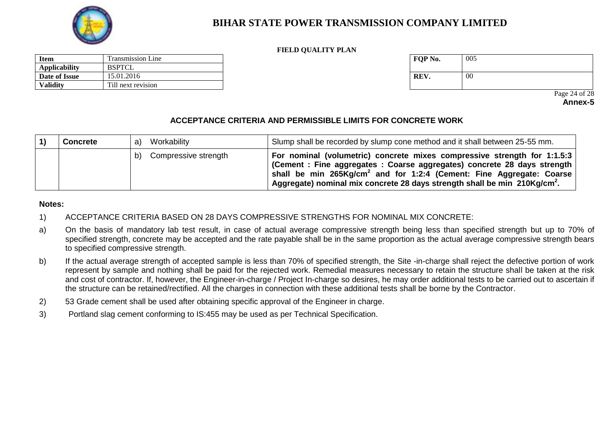

#### **FIELD QUALITY PLAN**

| <b>Item</b>          | <b>Transmission</b> Line | FOP No. | 005 |
|----------------------|--------------------------|---------|-----|
| <b>Applicability</b> | <b>BSPTCL</b>            |         |     |
| Date of Issue        | 15.01.2016               | REV.    | -00 |
| <b>Validity</b>      | Till next revision       |         |     |

| FQP No. | 005 |
|---------|-----|
| REV.    | 00  |

 Page 24 of 28 **Annex-5**

### **ACCEPTANCE CRITERIA AND PERMISSIBLE LIMITS FOR CONCRETE WORK**

| <b>Concrete</b> | Workability<br>a)          | Slump shall be recorded by slump cone method and it shall between 25-55 mm.                                                                                                                                                                                                                                                    |
|-----------------|----------------------------|--------------------------------------------------------------------------------------------------------------------------------------------------------------------------------------------------------------------------------------------------------------------------------------------------------------------------------|
|                 | Compressive strength<br>b) | For nominal (volumetric) concrete mixes compressive strength for 1:1.5:3<br>(Cement: Fine aggregates: Coarse aggregates) concrete 28 days strength<br>shall be min $265 \text{Kg/cm}^2$ and for 1:2:4 (Cement: Fine Aggregate: Coarse<br>Aggregate) nominal mix concrete 28 days strength shall be min 210Kg/cm <sup>2</sup> . |

#### **Notes:**

- 1) ACCEPTANCE CRITERIA BASED ON 28 DAYS COMPRESSIVE STRENGTHS FOR NOMINAL MIX CONCRETE:
- a) On the basis of mandatory lab test result, in case of actual average compressive strength being less than specified strength but up to 70% of specified strength, concrete may be accepted and the rate payable shall be in the same proportion as the actual average compressive strength bears to specified compressive strength.
- b) If the actual average strength of accepted sample is less than 70% of specified strength, the Site -in-charge shall reject the defective portion of work represent by sample and nothing shall be paid for the rejected work. Remedial measures necessary to retain the structure shall be taken at the risk and cost of contractor. If, however, the Engineer-in-charge / Project In-charge so desires, he may order additional tests to be carried out to ascertain if the structure can be retained/rectified. All the charges in connection with these additional tests shall be borne by the Contractor.
- 2) 53 Grade cement shall be used after obtaining specific approval of the Engineer in charge.
- 3) Portland slag cement conforming to IS:455 may be used as per Technical Specification.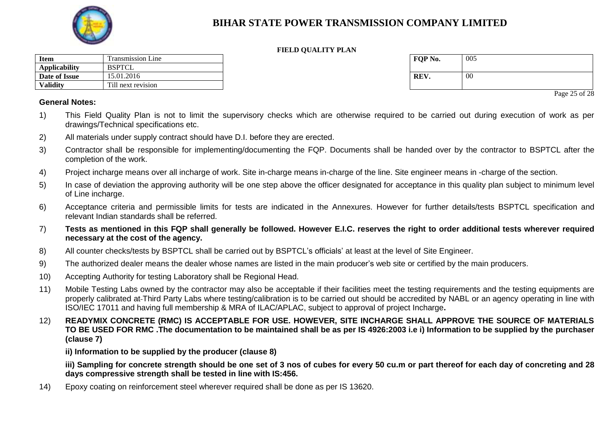

#### **FIELD QUALITY PLAN**

| <b>Item</b>          | <b>Transmission Line</b> | - | FOP No. | 005 |
|----------------------|--------------------------|---|---------|-----|
| <b>Applicability</b> | <b>BSPTCL</b>            |   |         |     |
| Date of Issue        | 15.01.2016               |   | REV.    | 00  |
| <b>Validity</b>      | Till next revision       |   |         |     |

#### **General Notes:**

- 1) This Field Quality Plan is not to limit the supervisory checks which are otherwise required to be carried out during execution of work as per drawings/Technical specifications etc.
- 2) All materials under supply contract should have D.I. before they are erected.
- 3) Contractor shall be responsible for implementing/documenting the FQP. Documents shall be handed over by the contractor to BSPTCL after the completion of the work.
- 4) Project incharge means over all incharge of work. Site in-charge means in-charge of the line. Site engineer means in -charge of the section.
- 5) In case of deviation the approving authority will be one step above the officer designated for acceptance in this quality plan subject to minimum level of Line incharge.
- 6) Acceptance criteria and permissible limits for tests are indicated in the Annexures. However for further details/tests BSPTCL specification and relevant Indian standards shall be referred.
- 7) **Tests as mentioned in this FQP shall generally be followed. However E.I.C. reserves the right to order additional tests wherever required necessary at the cost of the agency.**
- 8) All counter checks/tests by BSPTCL shall be carried out by BSPTCL's officials' at least at the level of Site Engineer.
- 9) The authorized dealer means the dealer whose names are listed in the main producer's web site or certified by the main producers.
- 10) Accepting Authority for testing Laboratory shall be Regional Head.
- 11) Mobile Testing Labs owned by the contractor may also be acceptable if their facilities meet the testing requirements and the testing equipments are properly calibrated at Third Party Labs where testing/calibration is to be carried out should be accredited by NABL or an agency operating in line with ISO/IEC 17011 and having full membership & MRA of ILAC/APLAC, subject to approval of project Incharge**.**
- 12) **READYMIX CONCRETE (RMC) IS ACCEPTABLE FOR USE. HOWEVER, SITE INCHARGE SHALL APPROVE THE SOURCE OF MATERIALS TO BE USED FOR RMC .The documentation to be maintained shall be as per IS 4926:2003 i.e i) Information to be supplied by the purchaser (clause 7)**

**ii) Information to be supplied by the producer (clause 8)**

**iii) Sampling for concrete strength should be one set of 3 nos of cubes for every 50 cu.m or part thereof for each day of concreting and 28 days compressive strength shall be tested in line with IS:456.**

14) Epoxy coating on reinforcement steel wherever required shall be done as per IS 13620.

| FQP No. | 005    |
|---------|--------|
| REV.    | $00\,$ |

Page 25 of 28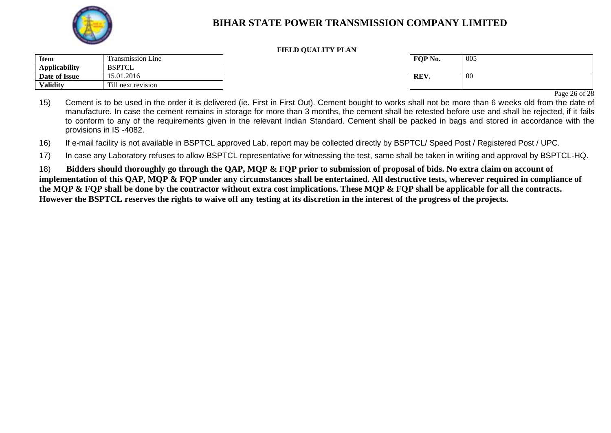

#### **FIELD QUALITY PLAN**

| <b>Item</b>          | l'ransmission Line | FOP No. | 005 |
|----------------------|--------------------|---------|-----|
| <b>Applicability</b> | <b>BSPTCL</b>      |         |     |
| Date of Issue        | 15.01.2016         | REV.    | 00  |
| <b>Validity</b>      | Till next revision |         |     |

| FQP No. | 005    |
|---------|--------|
| REV.    | $00\,$ |

Page 26 of 28

15) Cement is to be used in the order it is delivered (ie. First in First Out). Cement bought to works shall not be more than 6 weeks old from the date of manufacture. In case the cement remains in storage for more than 3 months, the cement shall be retested before use and shall be rejected, if it fails to conform to any of the requirements given in the relevant Indian Standard. Cement shall be packed in bags and stored in accordance with the provisions in IS -4082.

16) If e-mail facility is not available in BSPTCL approved Lab, report may be collected directly by BSPTCL/ Speed Post / Registered Post / UPC.

17) In case any Laboratory refuses to allow BSPTCL representative for witnessing the test, same shall be taken in writing and approval by BSPTCL-HQ.

18) **Bidders should thoroughly go through the QAP, MQP & FQP prior to submission of proposal of bids. No extra claim on account of implementation of this QAP, MQP & FQP under any circumstances shall be entertained. All destructive tests, wherever required in compliance of the MQP & FQP shall be done by the contractor without extra cost implications. These MQP & FQP shall be applicable for all the contracts. However the BSPTCL reserves the rights to waive off any testing at its discretion in the interest of the progress of the projects.**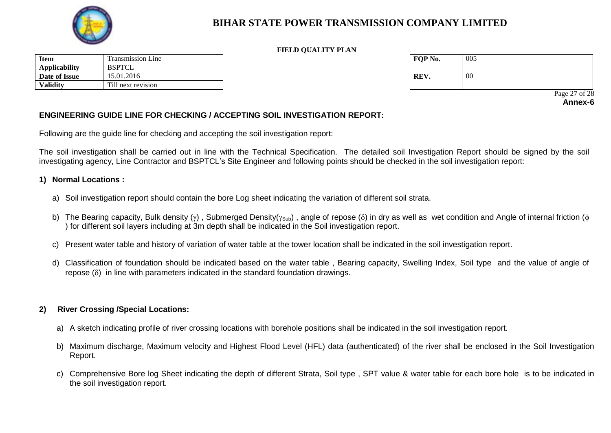

#### **FIELD QUALITY PLAN**

| <b>Item</b>          | Fransmission Line  | FOP No. | 005 |
|----------------------|--------------------|---------|-----|
| <b>Applicability</b> | <b>BSPTCL</b>      |         |     |
| Date of Issue        | 15.01.2016         | REV.    | 00  |
| <b>Validity</b>      | Till next revision |         |     |

| FQP No. | 005 |
|---------|-----|
| REV.    | 00  |

 Page 27 of 28 **Annex-6**

#### **ENGINEERING GUIDE LINE FOR CHECKING / ACCEPTING SOIL INVESTIGATION REPORT:**

Following are the guide line for checking and accepting the soil investigation report:

The soil investigation shall be carried out in line with the Technical Specification. The detailed soil Investigation Report should be signed by the soil investigating agency, Line Contractor and BSPTCL's Site Engineer and following points should be checked in the soil investigation report:

#### **1) Normal Locations :**

- a) Soil investigation report should contain the bore Log sheet indicating the variation of different soil strata.
- b) The Bearing capacity, Bulk density ( $\gamma$ ), Submerged Density( $\gamma_{\text{Sub}}$ ), angle of repose ( $\delta$ ) in dry as well as wet condition and Angle of internal friction ( $\phi$ ) for different soil layers including at 3m depth shall be indicated in the Soil investigation report.
- c) Present water table and history of variation of water table at the tower location shall be indicated in the soil investigation report.
- d) Classification of foundation should be indicated based on the water table , Bearing capacity, Swelling Index, Soil type and the value of angle of repose  $(\delta)$  in line with parameters indicated in the standard foundation drawings.

#### **2) River Crossing /Special Locations:**

- a) A sketch indicating profile of river crossing locations with borehole positions shall be indicated in the soil investigation report.
- b) Maximum discharge, Maximum velocity and Highest Flood Level (HFL) data (authenticated) of the river shall be enclosed in the Soil Investigation Report.
- c) Comprehensive Bore log Sheet indicating the depth of different Strata, Soil type , SPT value & water table for each bore hole is to be indicated in the soil investigation report.